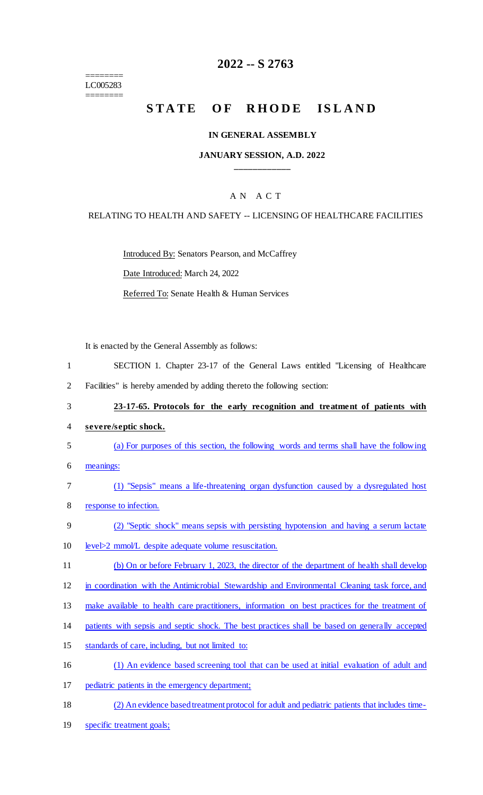======== LC005283 ========

# **2022 -- S 2763**

# STATE OF RHODE ISLAND

#### **IN GENERAL ASSEMBLY**

#### **JANUARY SESSION, A.D. 2022 \_\_\_\_\_\_\_\_\_\_\_\_**

## A N A C T

#### RELATING TO HEALTH AND SAFETY -- LICENSING OF HEALTHCARE FACILITIES

Introduced By: Senators Pearson, and McCaffrey

Date Introduced: March 24, 2022

Referred To: Senate Health & Human Services

It is enacted by the General Assembly as follows:

- 1 SECTION 1. Chapter 23-17 of the General Laws entitled "Licensing of Healthcare
- 2 Facilities" is hereby amended by adding thereto the following section:
- 3 **23-17-65. Protocols for the early recognition and treatment of patients with**
- 4 **severe/septic shock.**
- 5 (a) For purposes of this section, the following words and terms shall have the following
- 6 meanings:
- 7 (1) "Sepsis" means a life-threatening organ dysfunction caused by a dysregulated host 8 response to infection.
- 9 (2) "Septic shock" means sepsis with persisting hypotension and having a serum lactate
- 10 level>2 mmol/L despite adequate volume resuscitation.
- 11 (b) On or before February 1, 2023, the director of the department of health shall develop
- 12 in coordination with the Antimicrobial Stewardship and Environmental Cleaning task force, and
- 13 make available to health care practitioners, information on best practices for the treatment of
- 14 patients with sepsis and septic shock. The best practices shall be based on generally accepted
- 15 standards of care, including, but not limited to:
- 16 (1) An evidence based screening tool that can be used at initial evaluation of adult and
- 17 pediatric patients in the emergency department;
- 18 (2) An evidence based treatment protocol for adult and pediatric patients that includes time-
- 19 specific treatment goals;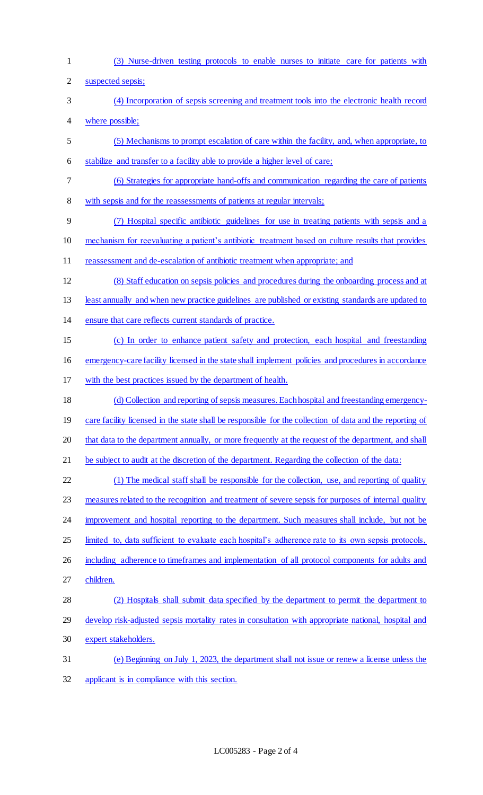(3) Nurse-driven testing protocols to enable nurses to initiate care for patients with

suspected sepsis;

- (4) Incorporation of sepsis screening and treatment tools into the electronic health record where possible;
- (5) Mechanisms to prompt escalation of care within the facility, and, when appropriate, to stabilize and transfer to a facility able to provide a higher level of care;
- (6) Strategies for appropriate hand-offs and communication regarding the care of patients
- 8 with sepsis and for the reassessments of patients at regular intervals;
- (7) Hospital specific antibiotic guidelines for use in treating patients with sepsis and a mechanism for reevaluating a patient's antibiotic treatment based on culture results that provides
- 11 reassessment and de-escalation of antibiotic treatment when appropriate; and
- (8) Staff education on sepsis policies and procedures during the onboarding process and at least annually and when new practice guidelines are published or existing standards are updated to ensure that care reflects current standards of practice.
- (c) In order to enhance patient safety and protection, each hospital and freestanding
- emergency-care facility licensed in the state shall implement policies and procedures in accordance
- with the best practices issued by the department of health.
- (d) Collection and reporting of sepsis measures. Each hospital and freestanding emergency-19 care facility licensed in the state shall be responsible for the collection of data and the reporting of that data to the department annually, or more frequently at the request of the department, and shall 21 be subject to audit at the discretion of the department. Regarding the collection of the data:
- (1) The medical staff shall be responsible for the collection, use, and reporting of quality 23 measures related to the recognition and treatment of severe sepsis for purposes of internal quality 24 improvement and hospital reporting to the department. Such measures shall include, but not be 25 limited to, data sufficient to evaluate each hospital's adherence rate to its own sepsis protocols, 26 including adherence to timeframes and implementation of all protocol components for adults and children.
- (2) Hospitals shall submit data specified by the department to permit the department to develop risk-adjusted sepsis mortality rates in consultation with appropriate national, hospital and expert stakeholders.
- (e) Beginning on July 1, 2023, the department shall not issue or renew a license unless the applicant is in compliance with this section.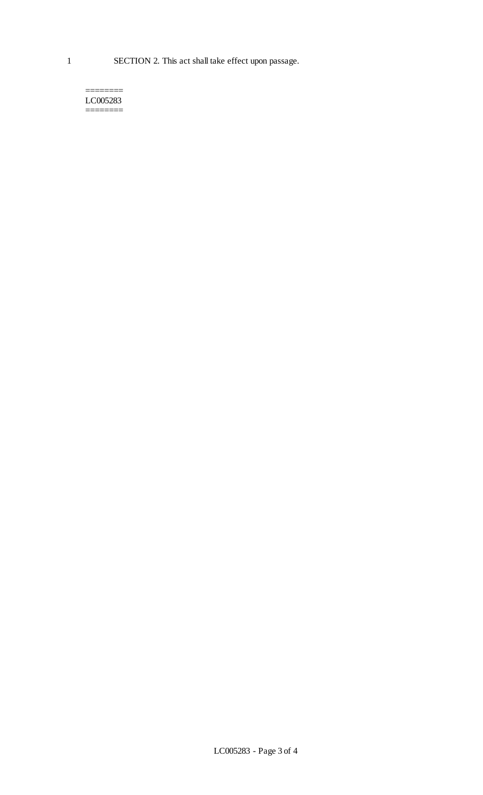======== LC005283 ========